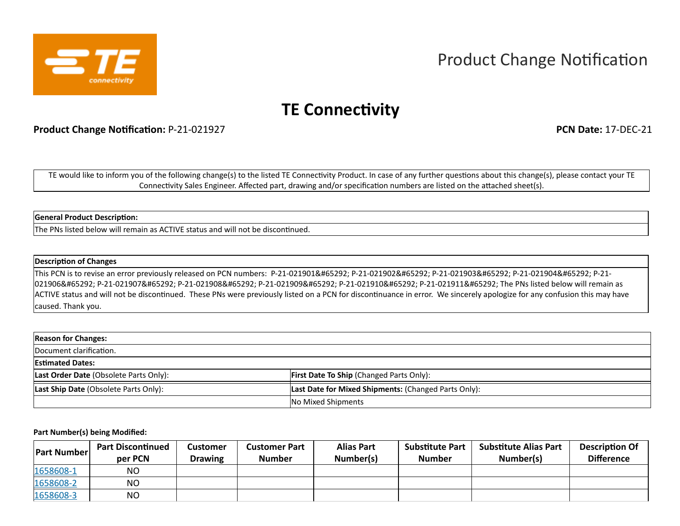

# Product Change Notification

## **TE Connectivity**

**Product Change Notification:** P-21-021927 **PCN Date:** 17-DEC-21

TE would like to inform you of the following change(s) to the listed TE Connectivity Product. In case of any further questions about this change(s), please contact your TE Connectivity Sales Engineer. Affected part, drawing and/or specification numbers are listed on the attached sheet(s).

### **General Product Description:**

The PNs listed below will remain as ACTIVE status and will not be discontinued.

### **Description of Changes**

This PCN is to revise an error previously released on PCN numbers: P-21-021901, P-21-021902, P-21-021903, P-21-021904, P-21-021906, P-21-021907, P-21-021908, P-21-021909, P-21-021910, P-21-021911, The PNs listed below will remain as ACTIVE status and will not be discontinued. These PNs were previously listed on a PCN for discontinuance in error. We sincerely apologize for any confusion this may have caused. Thank you.

| <b>Reason for Changes:</b>             |                                                      |
|----------------------------------------|------------------------------------------------------|
| Document clarification.                |                                                      |
| <b>Estimated Dates:</b>                |                                                      |
| Last Order Date (Obsolete Parts Only): | <b>First Date To Ship (Changed Parts Only):</b>      |
| Last Ship Date (Obsolete Parts Only):  | Last Date for Mixed Shipments: (Changed Parts Only): |
|                                        | No Mixed Shipments                                   |

#### **Part Number(s) being Modified:**

| <b>Part Number</b> | <b>Part Discontinued</b><br>per PCN | <b>Customer</b><br><b>Drawing</b> | <b>Customer Part</b><br><b>Number</b> | <b>Alias Part</b><br>Number(s) | <b>Substitute Part</b><br><b>Number</b> | <b>Substitute Alias Part</b><br>Number(s) | <b>Description Of</b><br><b>Difference</b> |
|--------------------|-------------------------------------|-----------------------------------|---------------------------------------|--------------------------------|-----------------------------------------|-------------------------------------------|--------------------------------------------|
| 1658608-1          | ΝO                                  |                                   |                                       |                                |                                         |                                           |                                            |
| 1658608-2          | ΝO                                  |                                   |                                       |                                |                                         |                                           |                                            |
| 1658608-3          | ΝO                                  |                                   |                                       |                                |                                         |                                           |                                            |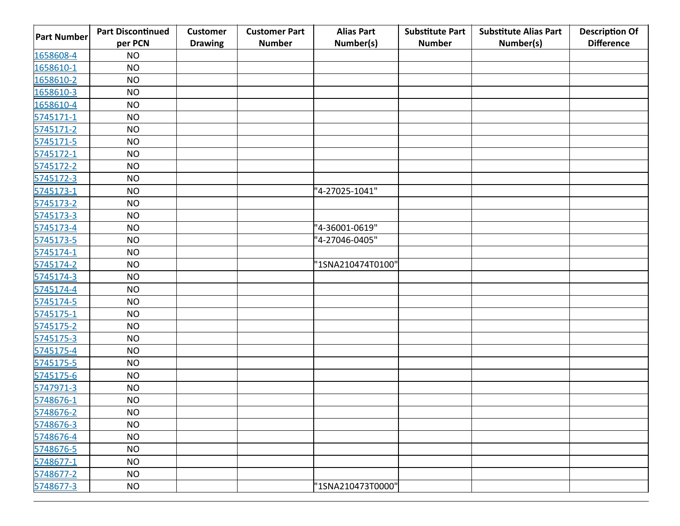| <b>Part Number</b> | <b>Part Discontinued</b><br>per PCN | <b>Customer</b><br><b>Drawing</b> | <b>Customer Part</b><br><b>Number</b> | <b>Alias Part</b><br>Number(s) | <b>Substitute Part</b><br><b>Number</b> | <b>Substitute Alias Part</b><br>Number(s) | <b>Description Of</b><br><b>Difference</b> |
|--------------------|-------------------------------------|-----------------------------------|---------------------------------------|--------------------------------|-----------------------------------------|-------------------------------------------|--------------------------------------------|
| 1658608-4          | <b>NO</b>                           |                                   |                                       |                                |                                         |                                           |                                            |
| 1658610-1          | <b>NO</b>                           |                                   |                                       |                                |                                         |                                           |                                            |
| 1658610-2          | <b>NO</b>                           |                                   |                                       |                                |                                         |                                           |                                            |
| 1658610-3          | <b>NO</b>                           |                                   |                                       |                                |                                         |                                           |                                            |
| 1658610-4          | <b>NO</b>                           |                                   |                                       |                                |                                         |                                           |                                            |
| 5745171-1          | <b>NO</b>                           |                                   |                                       |                                |                                         |                                           |                                            |
| 5745171-2          | <b>NO</b>                           |                                   |                                       |                                |                                         |                                           |                                            |
| 5745171-5          | <b>NO</b>                           |                                   |                                       |                                |                                         |                                           |                                            |
| 5745172-1          | <b>NO</b>                           |                                   |                                       |                                |                                         |                                           |                                            |
| 5745172-2          | <b>NO</b>                           |                                   |                                       |                                |                                         |                                           |                                            |
| 5745172-3          | <b>NO</b>                           |                                   |                                       |                                |                                         |                                           |                                            |
| 5745173-1          | <b>NO</b>                           |                                   |                                       | "4-27025-1041"                 |                                         |                                           |                                            |
| 5745173-2          | <b>NO</b>                           |                                   |                                       |                                |                                         |                                           |                                            |
| 5745173-3          | <b>NO</b>                           |                                   |                                       |                                |                                         |                                           |                                            |
| 5745173-4          | <b>NO</b>                           |                                   |                                       | "4-36001-0619"                 |                                         |                                           |                                            |
| 5745173-5          | <b>NO</b>                           |                                   |                                       | "4-27046-0405"                 |                                         |                                           |                                            |
| 5745174-1          | <b>NO</b>                           |                                   |                                       |                                |                                         |                                           |                                            |
| 5745174-2          | <b>NO</b>                           |                                   |                                       | "1SNA210474T0100"              |                                         |                                           |                                            |
| 5745174-3          | <b>NO</b>                           |                                   |                                       |                                |                                         |                                           |                                            |
| 5745174-4          | <b>NO</b>                           |                                   |                                       |                                |                                         |                                           |                                            |
| 5745174-5          | <b>NO</b>                           |                                   |                                       |                                |                                         |                                           |                                            |
| 5745175-1          | <b>NO</b>                           |                                   |                                       |                                |                                         |                                           |                                            |
| 5745175-2          | <b>NO</b>                           |                                   |                                       |                                |                                         |                                           |                                            |
| 5745175-3          | <b>NO</b>                           |                                   |                                       |                                |                                         |                                           |                                            |
| 5745175-4          | <b>NO</b>                           |                                   |                                       |                                |                                         |                                           |                                            |
| 5745175-5          | <b>NO</b>                           |                                   |                                       |                                |                                         |                                           |                                            |
| 5745175-6          | <b>NO</b>                           |                                   |                                       |                                |                                         |                                           |                                            |
| 5747971-3          | <b>NO</b>                           |                                   |                                       |                                |                                         |                                           |                                            |
| 5748676-1          | <b>NO</b>                           |                                   |                                       |                                |                                         |                                           |                                            |
| 5748676-2          | <b>NO</b>                           |                                   |                                       |                                |                                         |                                           |                                            |
| 5748676-3          | <b>NO</b>                           |                                   |                                       |                                |                                         |                                           |                                            |
| 5748676-4          | <b>NO</b>                           |                                   |                                       |                                |                                         |                                           |                                            |
| 5748676-5          | <b>NO</b>                           |                                   |                                       |                                |                                         |                                           |                                            |
| 5748677-1          | <b>NO</b>                           |                                   |                                       |                                |                                         |                                           |                                            |
| 5748677-2          | <b>NO</b>                           |                                   |                                       |                                |                                         |                                           |                                            |
| 5748677-3          | <b>NO</b>                           |                                   |                                       | "1SNA210473T0000"              |                                         |                                           |                                            |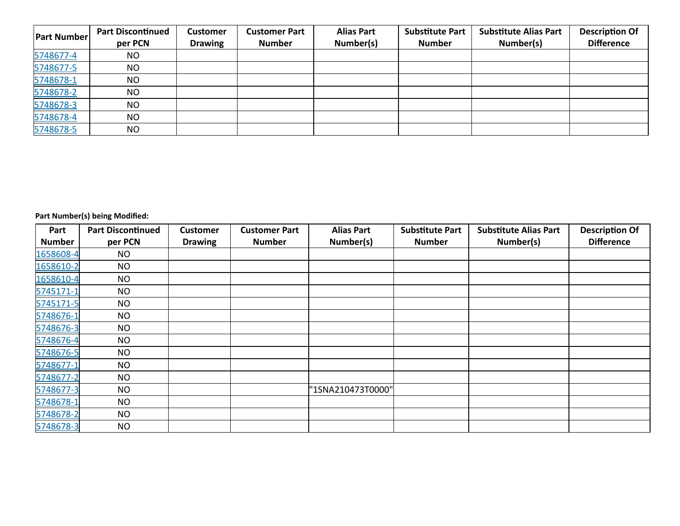| <b>Part Number</b> | <b>Part Discontinued</b><br>per PCN | <b>Customer</b><br><b>Drawing</b> | <b>Customer Part</b><br><b>Number</b> | <b>Alias Part</b><br>Number(s) | <b>Substitute Part</b><br><b>Number</b> | <b>Substitute Alias Part</b><br>Number(s) | <b>Description Of</b><br><b>Difference</b> |
|--------------------|-------------------------------------|-----------------------------------|---------------------------------------|--------------------------------|-----------------------------------------|-------------------------------------------|--------------------------------------------|
| 5748677-4          | NO.                                 |                                   |                                       |                                |                                         |                                           |                                            |
| 5748677-5          | NO                                  |                                   |                                       |                                |                                         |                                           |                                            |
| 5748678-1          | NO                                  |                                   |                                       |                                |                                         |                                           |                                            |
| 5748678-2          | NO                                  |                                   |                                       |                                |                                         |                                           |                                            |
| 5748678-3          | NO                                  |                                   |                                       |                                |                                         |                                           |                                            |
| 5748678-4          | NO                                  |                                   |                                       |                                |                                         |                                           |                                            |
| 5748678-5          | NO                                  |                                   |                                       |                                |                                         |                                           |                                            |

**Part Number(s) being Modified:**

| Part          | <b>Part Discontinued</b> | <b>Customer</b> | <b>Customer Part</b> | <b>Alias Part</b> | <b>Substitute Part</b> | <b>Substitute Alias Part</b> | <b>Description Of</b> |
|---------------|--------------------------|-----------------|----------------------|-------------------|------------------------|------------------------------|-----------------------|
| <b>Number</b> | per PCN                  | <b>Drawing</b>  | <b>Number</b>        | Number(s)         | <b>Number</b>          | Number(s)                    | <b>Difference</b>     |
| 1658608-4     | <b>NO</b>                |                 |                      |                   |                        |                              |                       |
| 1658610-2     | <b>NO</b>                |                 |                      |                   |                        |                              |                       |
| 1658610-4     | <b>NO</b>                |                 |                      |                   |                        |                              |                       |
| 5745171-1     | <b>NO</b>                |                 |                      |                   |                        |                              |                       |
| 5745171-5     | <b>NO</b>                |                 |                      |                   |                        |                              |                       |
| 5748676-1     | <b>NO</b>                |                 |                      |                   |                        |                              |                       |
| 5748676-3     | <b>NO</b>                |                 |                      |                   |                        |                              |                       |
| 5748676-4     | <b>NO</b>                |                 |                      |                   |                        |                              |                       |
| 5748676-5     | <b>NO</b>                |                 |                      |                   |                        |                              |                       |
| 5748677-1     | <b>NO</b>                |                 |                      |                   |                        |                              |                       |
| 5748677-2     | <b>NO</b>                |                 |                      |                   |                        |                              |                       |
| 5748677-3     | <b>NO</b>                |                 |                      | "1SNA210473T0000" |                        |                              |                       |
| 5748678-1     | <b>NO</b>                |                 |                      |                   |                        |                              |                       |
| 5748678-2     | <b>NO</b>                |                 |                      |                   |                        |                              |                       |
| 5748678-3     | <b>NO</b>                |                 |                      |                   |                        |                              |                       |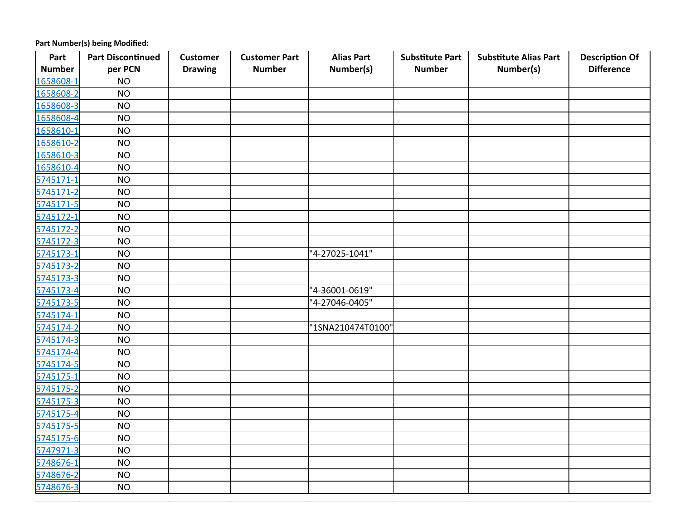**Part Number(s) being Modified:**

| Part          | <b>Part Discontinued</b> | <b>Customer</b> | <b>Customer Part</b> | <b>Alias Part</b> | <b>Substitute Part</b> | <b>Substitute Alias Part</b> | <b>Description Of</b> |
|---------------|--------------------------|-----------------|----------------------|-------------------|------------------------|------------------------------|-----------------------|
| <b>Number</b> | per PCN                  | <b>Drawing</b>  | <b>Number</b>        | Number(s)         | <b>Number</b>          | Number(s)                    | <b>Difference</b>     |
| 1658608-1     | <b>NO</b>                |                 |                      |                   |                        |                              |                       |
| 1658608-2     | <b>NO</b>                |                 |                      |                   |                        |                              |                       |
| 1658608-3     | <b>NO</b>                |                 |                      |                   |                        |                              |                       |
| 1658608-4     | <b>NO</b>                |                 |                      |                   |                        |                              |                       |
| 1658610-1     | <b>NO</b>                |                 |                      |                   |                        |                              |                       |
| 1658610-2     | <b>NO</b>                |                 |                      |                   |                        |                              |                       |
| 1658610-3     | <b>NO</b>                |                 |                      |                   |                        |                              |                       |
| 1658610-4     | <b>NO</b>                |                 |                      |                   |                        |                              |                       |
| 5745171-1     | <b>NO</b>                |                 |                      |                   |                        |                              |                       |
| 5745171-2     | <b>NO</b>                |                 |                      |                   |                        |                              |                       |
| 5745171-5     | <b>NO</b>                |                 |                      |                   |                        |                              |                       |
| 5745172-1     | <b>NO</b>                |                 |                      |                   |                        |                              |                       |
| 5745172-2     | <b>NO</b>                |                 |                      |                   |                        |                              |                       |
| 5745172-3     | <b>NO</b>                |                 |                      |                   |                        |                              |                       |
| 5745173-1     | <b>NO</b>                |                 |                      | '4-27025-1041"    |                        |                              |                       |
| 5745173-2     | <b>NO</b>                |                 |                      |                   |                        |                              |                       |
| 5745173-3     | <b>NO</b>                |                 |                      |                   |                        |                              |                       |
| 5745173-4     | <b>NO</b>                |                 |                      | '4-36001-0619"    |                        |                              |                       |
| 5745173-5     | <b>NO</b>                |                 |                      | "4-27046-0405"    |                        |                              |                       |
| 5745174-1     | <b>NO</b>                |                 |                      |                   |                        |                              |                       |
| 5745174-2     | <b>NO</b>                |                 |                      | "1SNA210474T0100" |                        |                              |                       |
| 5745174-3     | <b>NO</b>                |                 |                      |                   |                        |                              |                       |
| 5745174-4     | <b>NO</b>                |                 |                      |                   |                        |                              |                       |
| 5745174-5     | <b>NO</b>                |                 |                      |                   |                        |                              |                       |
| 5745175-1     | <b>NO</b>                |                 |                      |                   |                        |                              |                       |
| 5745175-2     | <b>NO</b>                |                 |                      |                   |                        |                              |                       |
| 5745175-3     | <b>NO</b>                |                 |                      |                   |                        |                              |                       |
| 5745175-4     | <b>NO</b>                |                 |                      |                   |                        |                              |                       |
| 5745175-5     | <b>NO</b>                |                 |                      |                   |                        |                              |                       |
| 5745175-6     | <b>NO</b>                |                 |                      |                   |                        |                              |                       |
| 5747971-3     | <b>NO</b>                |                 |                      |                   |                        |                              |                       |
| 5748676-1     | <b>NO</b>                |                 |                      |                   |                        |                              |                       |
| 5748676-2     | <b>NO</b>                |                 |                      |                   |                        |                              |                       |
| 5748676-3     | <b>NO</b>                |                 |                      |                   |                        |                              |                       |